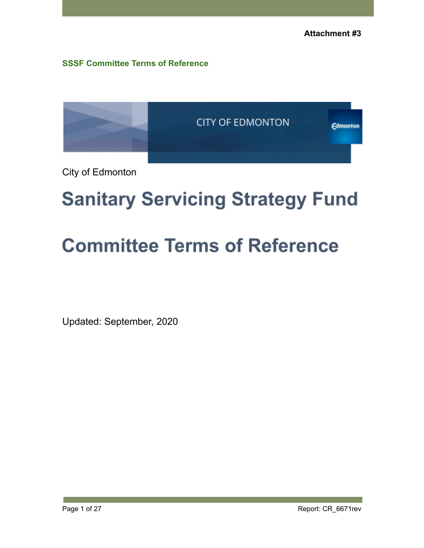**SSSF Committee Terms of Reference**



City of Edmonton

# **Sanitary Servicing Strategy Fund**

# **Committee Terms of Reference**

Updated: September, 2020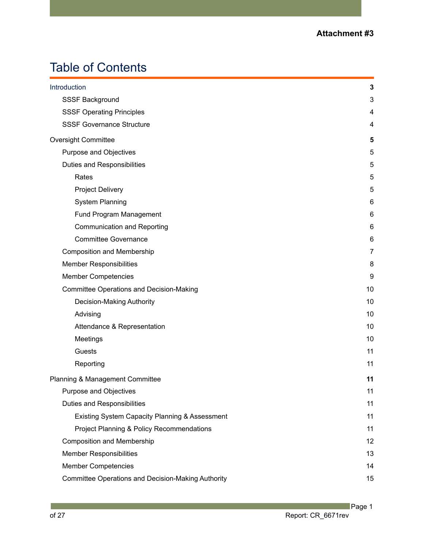# Table of Contents

| Introduction                                              | 3              |
|-----------------------------------------------------------|----------------|
| SSSF Background                                           | 3              |
| <b>SSSF Operating Principles</b>                          | 4              |
| <b>SSSF Governance Structure</b>                          | 4              |
| <b>Oversight Committee</b>                                | 5              |
| Purpose and Objectives                                    | 5              |
| Duties and Responsibilities                               | 5              |
| Rates                                                     | 5              |
| <b>Project Delivery</b>                                   | 5              |
| <b>System Planning</b>                                    | 6              |
| Fund Program Management                                   | 6              |
| <b>Communication and Reporting</b>                        | 6              |
| <b>Committee Governance</b>                               | 6              |
| <b>Composition and Membership</b>                         | $\overline{7}$ |
| <b>Member Responsibilities</b>                            | 8              |
| <b>Member Competencies</b>                                | 9              |
| <b>Committee Operations and Decision-Making</b>           | 10             |
| Decision-Making Authority                                 | 10             |
| Advising                                                  | 10             |
| Attendance & Representation                               | 10             |
| Meetings                                                  | 10             |
| Guests                                                    | 11             |
| Reporting                                                 | 11             |
| Planning & Management Committee                           | 11             |
| Purpose and Objectives                                    | 11             |
| <b>Duties and Responsibilities</b>                        | 11             |
| Existing System Capacity Planning & Assessment            | 11             |
| Project Planning & Policy Recommendations                 | 11             |
| <b>Composition and Membership</b>                         | 12             |
| <b>Member Responsibilities</b>                            | 13             |
| <b>Member Competencies</b>                                | 14             |
| <b>Committee Operations and Decision-Making Authority</b> | 15             |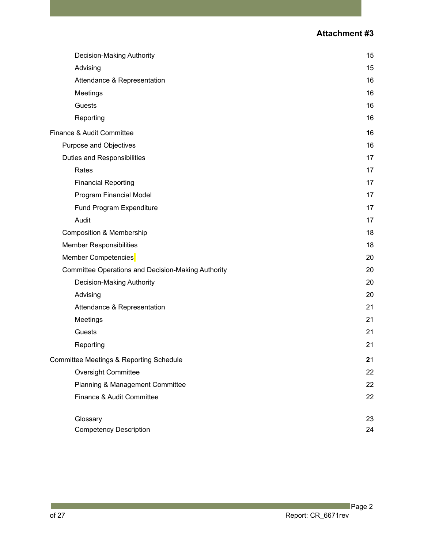| Decision-Making Authority                                 | 15 |
|-----------------------------------------------------------|----|
| Advising                                                  | 15 |
| Attendance & Representation                               | 16 |
| Meetings                                                  | 16 |
| Guests                                                    | 16 |
| Reporting                                                 | 16 |
| Finance & Audit Committee                                 | 16 |
| Purpose and Objectives                                    | 16 |
| Duties and Responsibilities                               | 17 |
| Rates                                                     | 17 |
| <b>Financial Reporting</b>                                | 17 |
| Program Financial Model                                   | 17 |
| Fund Program Expenditure                                  | 17 |
| Audit                                                     | 17 |
| <b>Composition &amp; Membership</b>                       | 18 |
| <b>Member Responsibilities</b>                            | 18 |
| Member Competencies                                       | 20 |
| <b>Committee Operations and Decision-Making Authority</b> | 20 |
| Decision-Making Authority                                 | 20 |
| Advising                                                  | 20 |
| Attendance & Representation                               | 21 |
| Meetings                                                  | 21 |
| Guests                                                    | 21 |
| Reporting                                                 | 21 |
| Committee Meetings & Reporting Schedule                   | 21 |
| <b>Oversight Committee</b>                                | 22 |
| Planning & Management Committee                           | 22 |
| Finance & Audit Committee                                 | 22 |
| Glossary                                                  | 23 |
| <b>Competency Description</b>                             | 24 |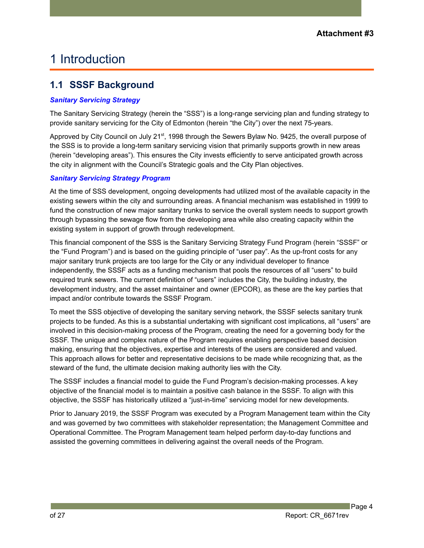# 1 Introduction

# <span id="page-4-0"></span>**1.1 SSSF Background**

#### *Sanitary Servicing Strategy*

The Sanitary Servicing Strategy (herein the "SSS") is a long-range servicing plan and funding strategy to provide sanitary servicing for the City of Edmonton (herein "the City") over the next 75-years.

Approved by City Council on July 21<sup>st</sup>, 1998 through the Sewers Bylaw No. 9425, the overall purpose of the SSS is to provide a long-term sanitary servicing vision that primarily supports growth in new areas (herein "developing areas"). This ensures the City invests efficiently to serve anticipated growth across the city in alignment with the Council's Strategic goals and the City Plan objectives.

#### *Sanitary Servicing Strategy Program*

At the time of SSS development, ongoing developments had utilized most of the available capacity in the existing sewers within the city and surrounding areas. A financial mechanism was established in 1999 to fund the construction of new major sanitary trunks to service the overall system needs to support growth through bypassing the sewage flow from the developing area while also creating capacity within the existing system in support of growth through redevelopment.

This financial component of the SSS is the Sanitary Servicing Strategy Fund Program (herein "SSSF" or the "Fund Program") and is based on the guiding principle of "user pay". As the up-front costs for any major sanitary trunk projects are too large for the City or any individual developer to finance independently, the SSSF acts as a funding mechanism that pools the resources of all "users" to build required trunk sewers. The current definition of "users" includes the City, the building industry, the development industry, and the asset maintainer and owner (EPCOR), as these are the key parties that impact and/or contribute towards the SSSF Program.

To meet the SSS objective of developing the sanitary serving network, the SSSF selects sanitary trunk projects to be funded. As this is a substantial undertaking with significant cost implications, all "users" are involved in this decision-making process of the Program, creating the need for a governing body for the SSSF. The unique and complex nature of the Program requires enabling perspective based decision making, ensuring that the objectives, expertise and interests of the users are considered and valued. This approach allows for better and representative decisions to be made while recognizing that, as the steward of the fund, the ultimate decision making authority lies with the City.

The SSSF includes a financial model to guide the Fund Program's decision-making processes. A key objective of the financial model is to maintain a positive cash balance in the SSSF. To align with this objective, the SSSF has historically utilized a "just-in-time" servicing model for new developments.

Prior to January 2019, the SSSF Program was executed by a Program Management team within the City and was governed by two committees with stakeholder representation; the Management Committee and Operational Committee. The Program Management team helped perform day-to-day functions and assisted the governing committees in delivering against the overall needs of the Program.

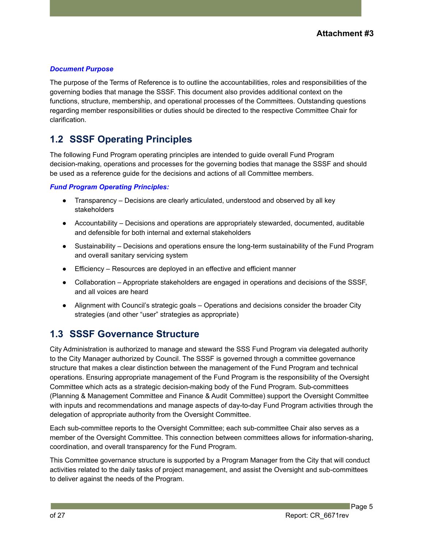#### *Document Purpose*

The purpose of the Terms of Reference is to outline the accountabilities, roles and responsibilities of the governing bodies that manage the SSSF. This document also provides additional context on the functions, structure, membership, and operational processes of the Committees. Outstanding questions regarding member responsibilities or duties should be directed to the respective Committee Chair for clarification.

# <span id="page-5-0"></span>**1.2 SSSF Operating Principles**

The following Fund Program operating principles are intended to guide overall Fund Program decision-making, operations and processes for the governing bodies that manage the SSSF and should be used as a reference guide for the decisions and actions of all Committee members.

#### *Fund Program Operating Principles:*

- Transparency Decisions are clearly articulated, understood and observed by all key stakeholders
- Accountability Decisions and operations are appropriately stewarded, documented, auditable and defensible for both internal and external stakeholders
- Sustainability Decisions and operations ensure the long-term sustainability of the Fund Program and overall sanitary servicing system
- Efficiency Resources are deployed in an effective and efficient manner
- Collaboration Appropriate stakeholders are engaged in operations and decisions of the SSSF, and all voices are heard
- Alignment with Council's strategic goals Operations and decisions consider the broader City strategies (and other "user" strategies as appropriate)

# <span id="page-5-1"></span>**1.3 SSSF Governance Structure**

City Administration is authorized to manage and steward the SSS Fund Program via delegated authority to the City Manager authorized by Council. The SSSF is governed through a committee governance structure that makes a clear distinction between the management of the Fund Program and technical operations. Ensuring appropriate management of the Fund Program is the responsibility of the Oversight Committee which acts as a strategic decision-making body of the Fund Program. Sub-committees (Planning & Management Committee and Finance & Audit Committee) support the Oversight Committee with inputs and recommendations and manage aspects of day-to-day Fund Program activities through the delegation of appropriate authority from the Oversight Committee.

Each sub-committee reports to the Oversight Committee; each sub-committee Chair also serves as a member of the Oversight Committee. This connection between committees allows for information-sharing, coordination, and overall transparency for the Fund Program.

This Committee governance structure is supported by a Program Manager from the City that will conduct activities related to the daily tasks of project management, and assist the Oversight and sub-committees to deliver against the needs of the Program.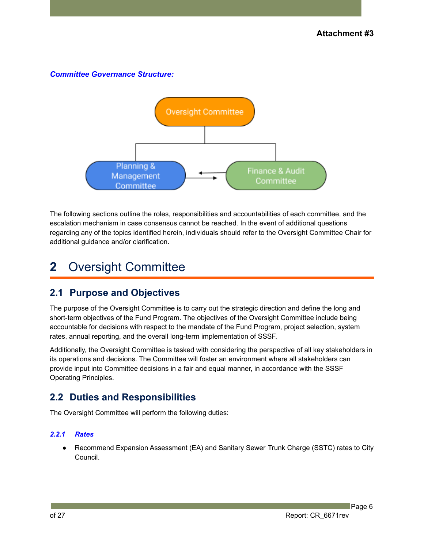#### *Committee Governance Structure:*



The following sections outline the roles, responsibilities and accountabilities of each committee, and the escalation mechanism in case consensus cannot be reached. In the event of additional questions regarding any of the topics identified herein, individuals should refer to the Oversight Committee Chair for additional guidance and/or clarification.

# <span id="page-6-0"></span>**2** Oversight Committee

## <span id="page-6-1"></span>**2.1 Purpose and Objectives**

The purpose of the Oversight Committee is to carry out the strategic direction and define the long and short-term objectives of the Fund Program. The objectives of the Oversight Committee include being accountable for decisions with respect to the mandate of the Fund Program, project selection, system rates, annual reporting, and the overall long-term implementation of SSSF.

Additionally, the Oversight Committee is tasked with considering the perspective of all key stakeholders in its operations and decisions. The Committee will foster an environment where all stakeholders can provide input into Committee decisions in a fair and equal manner, in accordance with the SSSF Operating Principles.

# <span id="page-6-2"></span>**2.2 Duties and Responsibilities**

The Oversight Committee will perform the following duties:

#### <span id="page-6-3"></span>*2.2.1 Rates*

Recommend Expansion Assessment (EA) and Sanitary Sewer Trunk Charge (SSTC) rates to City Council.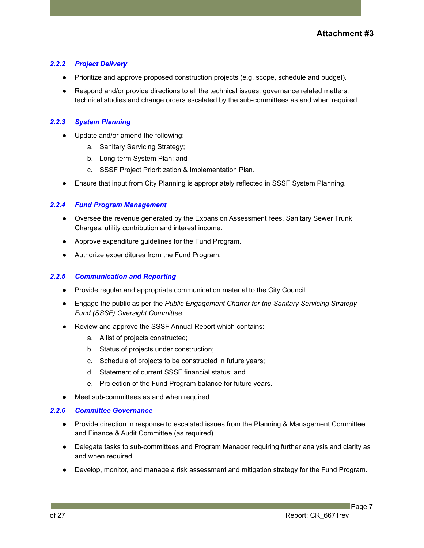#### <span id="page-7-0"></span>*2.2.2 Project Delivery*

- Prioritize and approve proposed construction projects (e.g. scope, schedule and budget).
- Respond and/or provide directions to all the technical issues, governance related matters, technical studies and change orders escalated by the sub-committees as and when required.

#### <span id="page-7-1"></span>*2.2.3 System Planning*

- Update and/or amend the following:
	- a. Sanitary Servicing Strategy;
	- b. Long-term System Plan; and
	- c. SSSF Project Prioritization & Implementation Plan.
- Ensure that input from City Planning is appropriately reflected in SSSF System Planning.

#### <span id="page-7-2"></span>*2.2.4 Fund Program Management*

- Oversee the revenue generated by the Expansion Assessment fees, Sanitary Sewer Trunk Charges, utility contribution and interest income.
- Approve expenditure guidelines for the Fund Program.
- Authorize expenditures from the Fund Program.

#### <span id="page-7-3"></span>*2.2.5 Communication and Reporting*

- Provide regular and appropriate communication material to the City Council.
- Engage the public as per the *Public Engagement Charter for the Sanitary Servicing Strategy Fund (SSSF) Oversight Committee*.
- Review and approve the SSSF Annual Report which contains:
	- a. A list of projects constructed;
	- b. Status of projects under construction;
	- c. Schedule of projects to be constructed in future years;
	- d. Statement of current SSSF financial status; and
	- e. Projection of the Fund Program balance for future years.
- Meet sub-committees as and when required

#### *2.2.6 Committee Governance*

- Provide direction in response to escalated issues from the Planning & Management Committee and Finance & Audit Committee (as required).
- Delegate tasks to sub-committees and Program Manager requiring further analysis and clarity as and when required.
- Develop, monitor, and manage a risk assessment and mitigation strategy for the Fund Program.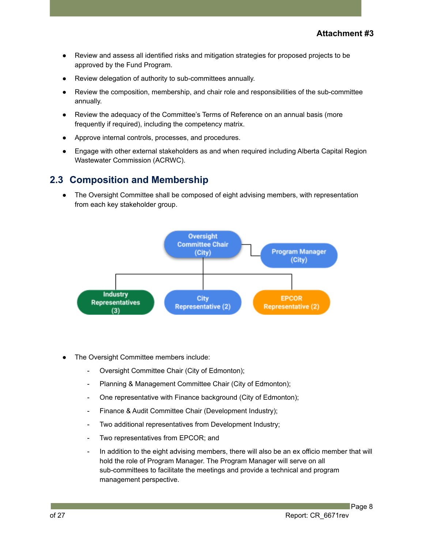- Review and assess all identified risks and mitigation strategies for proposed projects to be approved by the Fund Program.
- Review delegation of authority to sub-committees annually.
- Review the composition, membership, and chair role and responsibilities of the sub-committee annually.
- Review the adequacy of the Committee's Terms of Reference on an annual basis (more frequently if required), including the competency matrix.
- Approve internal controls, processes, and procedures.
- Engage with other external stakeholders as and when required including Alberta Capital Region Wastewater Commission (ACRWC).

#### <span id="page-8-0"></span>**2.3 Composition and Membership**

• The Oversight Committee shall be composed of eight advising members, with representation from each key stakeholder group.



- The Oversight Committee members include:
	- Oversight Committee Chair (City of Edmonton);
	- Planning & Management Committee Chair (City of Edmonton);
	- One representative with Finance background (City of Edmonton);
	- Finance & Audit Committee Chair (Development Industry);
	- Two additional representatives from Development Industry;
	- Two representatives from EPCOR; and
	- In addition to the eight advising members, there will also be an ex officio member that will hold the role of Program Manager. The Program Manager will serve on all sub-committees to facilitate the meetings and provide a technical and program management perspective.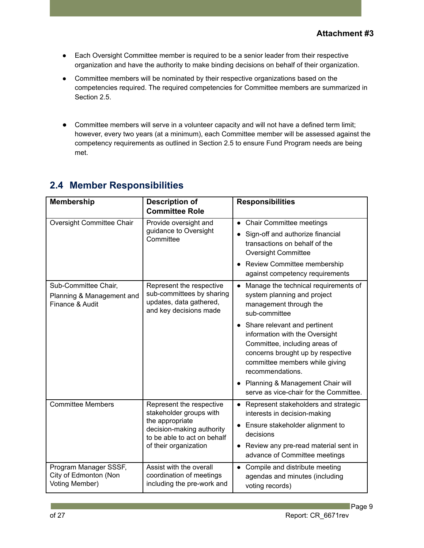- Each Oversight Committee member is required to be a senior leader from their respective organization and have the authority to make binding decisions on behalf of their organization.
- Committee members will be nominated by their respective organizations based on the competencies required. The required competencies for Committee members are summarized in Section 2.5.
- Committee members will serve in a volunteer capacity and will not have a defined term limit; however, every two years (at a minimum), each Committee member will be assessed against the competency requirements as outlined in Section 2.5 to ensure Fund Program needs are being met.

| <b>Membership</b>                                                    | <b>Description of</b><br><b>Committee Role</b>                                                                                                              | <b>Responsibilities</b>                                                                                                                                                                                                                                                                                                                                                                                                           |
|----------------------------------------------------------------------|-------------------------------------------------------------------------------------------------------------------------------------------------------------|-----------------------------------------------------------------------------------------------------------------------------------------------------------------------------------------------------------------------------------------------------------------------------------------------------------------------------------------------------------------------------------------------------------------------------------|
| Oversight Committee Chair                                            | Provide oversight and<br>guidance to Oversight<br>Committee                                                                                                 | <b>Chair Committee meetings</b><br>$\bullet$<br>Sign-off and authorize financial<br>transactions on behalf of the<br><b>Oversight Committee</b><br>Review Committee membership<br>against competency requirements                                                                                                                                                                                                                 |
| Sub-Committee Chair,<br>Planning & Management and<br>Finance & Audit | Represent the respective<br>sub-committees by sharing<br>updates, data gathered,<br>and key decisions made                                                  | Manage the technical requirements of<br>$\bullet$<br>system planning and project<br>management through the<br>sub-committee<br>Share relevant and pertinent<br>$\bullet$<br>information with the Oversight<br>Committee, including areas of<br>concerns brought up by respective<br>committee members while giving<br>recommendations.<br>Planning & Management Chair will<br>$\bullet$<br>serve as vice-chair for the Committee. |
| <b>Committee Members</b>                                             | Represent the respective<br>stakeholder groups with<br>the appropriate<br>decision-making authority<br>to be able to act on behalf<br>of their organization | Represent stakeholders and strategic<br>interests in decision-making<br>Ensure stakeholder alignment to<br>$\bullet$<br>decisions<br>• Review any pre-read material sent in<br>advance of Committee meetings                                                                                                                                                                                                                      |
| Program Manager SSSF,<br>City of Edmonton (Non<br>Voting Member)     | Assist with the overall<br>coordination of meetings<br>including the pre-work and                                                                           | Compile and distribute meeting<br>agendas and minutes (including<br>voting records)                                                                                                                                                                                                                                                                                                                                               |

# <span id="page-9-0"></span>**2.4 Member Responsibilities**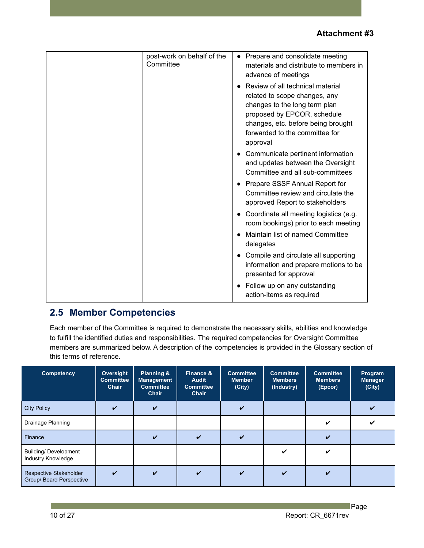| Committee | post-work on behalf of the<br>Prepare and consolidate meeting<br>materials and distribute to members in<br>advance of meetings                                                                                        |
|-----------|-----------------------------------------------------------------------------------------------------------------------------------------------------------------------------------------------------------------------|
|           | Review of all technical material<br>related to scope changes, any<br>changes to the long term plan<br>proposed by EPCOR, schedule<br>changes, etc. before being brought<br>forwarded to the committee for<br>approval |
|           | Communicate pertinent information<br>and updates between the Oversight<br>Committee and all sub-committees                                                                                                            |
|           | Prepare SSSF Annual Report for<br>Committee review and circulate the<br>approved Report to stakeholders                                                                                                               |
|           | Coordinate all meeting logistics (e.g.<br>room bookings) prior to each meeting                                                                                                                                        |
|           | Maintain list of named Committee<br>delegates                                                                                                                                                                         |
|           | Compile and circulate all supporting<br>information and prepare motions to be<br>presented for approval                                                                                                               |
|           | Follow up on any outstanding<br>action-items as required                                                                                                                                                              |

# <span id="page-10-0"></span>**2.5 Member Competencies**

Each member of the Committee is required to demonstrate the necessary skills, abilities and knowledge to fulfill the identified duties and responsibilities. The required competencies for Oversight Committee members are summarized below. A description of the competencies is provided in the Glossary section of this terms of reference.

| Competency                                         | Oversight<br><b>Committee</b><br>Chair | <b>Planning &amp;</b><br><b>Management</b><br><b>Committee</b><br>Chair | Finance &<br><b>Audit</b><br><b>Committee</b><br>Chair | <b>Committee</b><br><b>Member</b><br>(City) | <b>Committee</b><br><b>Members</b><br>(Industry) | <b>Committee</b><br><b>Members</b><br>(Epcor) | Program<br><b>Manager</b><br>(City) |
|----------------------------------------------------|----------------------------------------|-------------------------------------------------------------------------|--------------------------------------------------------|---------------------------------------------|--------------------------------------------------|-----------------------------------------------|-------------------------------------|
| <b>City Policy</b>                                 | $\boldsymbol{\mathcal{U}}$             | $\boldsymbol{\mathcal{U}}$                                              |                                                        | V                                           |                                                  |                                               |                                     |
| Drainage Planning                                  |                                        |                                                                         |                                                        |                                             |                                                  |                                               |                                     |
| Finance                                            |                                        | $\boldsymbol{\mathcal{U}}$                                              | ✓                                                      | $\boldsymbol{\nu}$                          |                                                  |                                               |                                     |
| <b>Building/ Development</b><br>Industry Knowledge |                                        |                                                                         |                                                        |                                             | ✓                                                | ✔                                             |                                     |
| Respective Stakeholder<br>Group/ Board Perspective | $\boldsymbol{\mathcal{U}}$             | ✓                                                                       | ✓                                                      | V                                           | ✓                                                |                                               |                                     |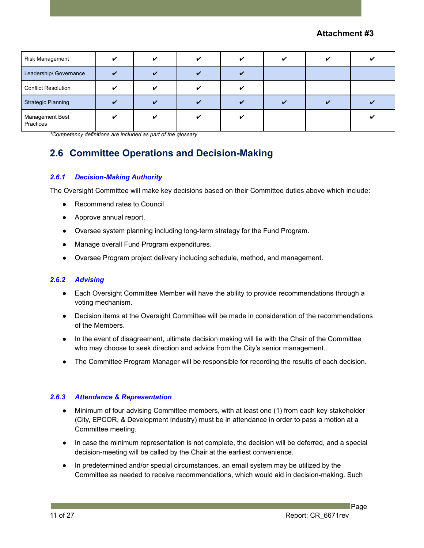| Risk Management              | $\overline{\mathbf{v}}$ | ✓                       |  | " |  |
|------------------------------|-------------------------|-------------------------|--|---|--|
| Leadership/ Governance       | $\overline{a}$          | $\overline{\mathbf{v}}$ |  |   |  |
| <b>Conflict Resolution</b>   |                         | $\overline{a}$          |  |   |  |
| <b>Strategic Planning</b>    |                         |                         |  |   |  |
| Management Best<br>Practices |                         | $\overline{a}$          |  |   |  |

<span id="page-11-0"></span>*\*Competency definitions are included as part of the glossary*

# **2.6 Committee Operations and Decision-Making**

#### <span id="page-11-1"></span>*2.6.1 Decision-Making Authority*

The Oversight Committee will make key decisions based on their Committee duties above which include:

- Recommend rates to Council.
- Approve annual report.
- Oversee system planning including long-term strategy for the Fund Program.
- Manage overall Fund Program expenditures.
- Oversee Program project delivery including schedule, method, and management.

#### *2.6.2 Advising*

- Each Oversight Committee Member will have the ability to provide recommendations through a voting mechanism.
- Decision items at the Oversight Committee will be made in consideration of the recommendations of the Members.
- In the event of disagreement, ultimate decision making will lie with the Chair of the Committee who may choose to seek direction and advice from the City's senior management..
- The Committee Program Manager will be responsible for recording the results of each decision.

#### *2.6.3 Attendance & Representation*

- Minimum of four advising Committee members, with at least one (1) from each key stakeholder (City, EPCOR, & Development Industry) must be in attendance in order to pass a motion at a Committee meeting.
- In case the minimum representation is not complete, the decision will be deferred, and a special decision-meeting will be called by the Chair at the earliest convenience.
- In predetermined and/or special circumstances, an email system may be utilized by the Committee as needed to receive recommendations, which would aid in decision-making. Such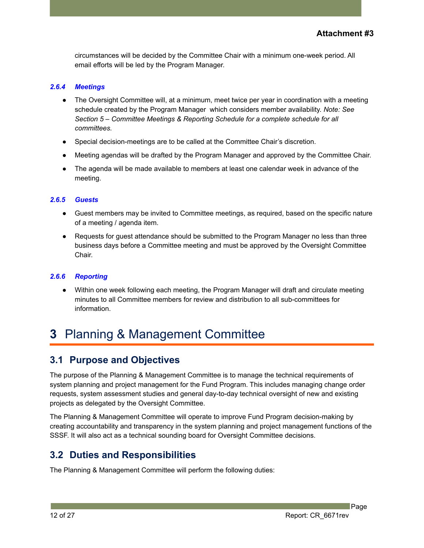circumstances will be decided by the Committee Chair with a minimum one-week period. All email efforts will be led by the Program Manager.

#### <span id="page-12-0"></span>*2.6.4 Meetings*

- The Oversight Committee will, at a minimum, meet twice per year in coordination with a meeting schedule created by the Program Manager which considers member availability. *Note: See Section 5 – Committee Meetings & Reporting Schedule for a complete schedule for all committees.*
- Special decision-meetings are to be called at the Committee Chair's discretion.
- Meeting agendas will be drafted by the Program Manager and approved by the Committee Chair.
- The agenda will be made available to members at least one calendar week in advance of the meeting.

#### <span id="page-12-1"></span>*2.6.5 Guests*

- Guest members may be invited to Committee meetings, as required, based on the specific nature of a meeting / agenda item.
- Requests for guest attendance should be submitted to the Program Manager no less than three business days before a Committee meeting and must be approved by the Oversight Committee Chair.

#### <span id="page-12-2"></span>*2.6.6 Reporting*

Within one week following each meeting, the Program Manager will draft and circulate meeting minutes to all Committee members for review and distribution to all sub-committees for information.

# <span id="page-12-3"></span>**3** Planning & Management Committee

## <span id="page-12-4"></span>**3.1 Purpose and Objectives**

The purpose of the Planning & Management Committee is to manage the technical requirements of system planning and project management for the Fund Program. This includes managing change order requests, system assessment studies and general day-to-day technical oversight of new and existing projects as delegated by the Oversight Committee.

The Planning & Management Committee will operate to improve Fund Program decision-making by creating accountability and transparency in the system planning and project management functions of the SSSF. It will also act as a technical sounding board for Oversight Committee decisions.

## <span id="page-12-5"></span>**3.2 Duties and Responsibilities**

The Planning & Management Committee will perform the following duties:

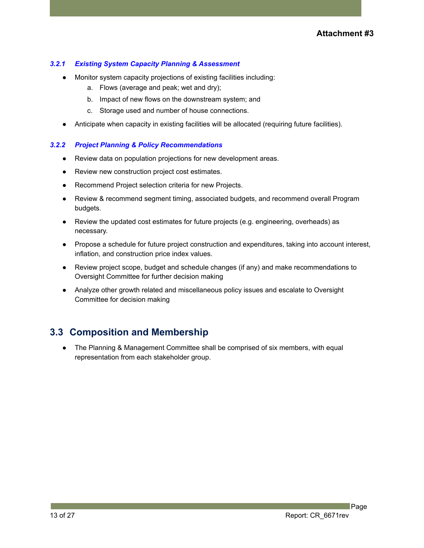#### <span id="page-13-0"></span>*3.2.1 Existing System Capacity Planning & Assessment*

- Monitor system capacity projections of existing facilities including:
	- a. Flows (average and peak; wet and dry);
	- b. Impact of new flows on the downstream system; and
	- c. Storage used and number of house connections.
- Anticipate when capacity in existing facilities will be allocated (requiring future facilities).

#### <span id="page-13-1"></span>*3.2.2 Project Planning & Policy Recommendations*

- Review data on population projections for new development areas.
- Review new construction project cost estimates.
- Recommend Project selection criteria for new Projects.
- Review & recommend segment timing, associated budgets, and recommend overall Program budgets.
- Review the updated cost estimates for future projects (e.g. engineering, overheads) as necessary.
- Propose a schedule for future project construction and expenditures, taking into account interest, inflation, and construction price index values.
- Review project scope, budget and schedule changes (if any) and make recommendations to Oversight Committee for further decision making
- Analyze other growth related and miscellaneous policy issues and escalate to Oversight Committee for decision making

## <span id="page-13-2"></span>**3.3 Composition and Membership**

● The Planning & Management Committee shall be comprised of six members, with equal representation from each stakeholder group.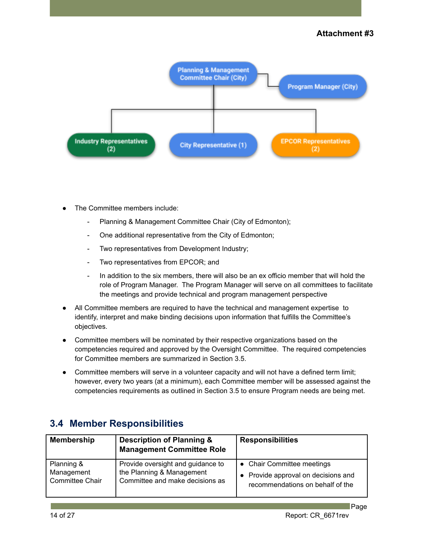

- The Committee members include:
	- Planning & Management Committee Chair (City of Edmonton);
	- One additional representative from the City of Edmonton;
	- Two representatives from Development Industry;
	- Two representatives from EPCOR; and
	- In addition to the six members, there will also be an ex officio member that will hold the role of Program Manager. The Program Manager will serve on all committees to facilitate the meetings and provide technical and program management perspective
- All Committee members are required to have the technical and management expertise to identify, interpret and make binding decisions upon information that fulfills the Committee's objectives.
- Committee members will be nominated by their respective organizations based on the competencies required and approved by the Oversight Committee. The required competencies for Committee members are summarized in Section 3.5.
- Committee members will serve in a volunteer capacity and will not have a defined term limit; however, every two years (at a minimum), each Committee member will be assessed against the competencies requirements as outlined in Section 3.5 to ensure Program needs are being met.

## <span id="page-14-0"></span>**3.4 Member Responsibilities**

| <b>Membership</b> | <b>Description of Planning &amp;</b><br><b>Management Committee Role</b> | <b>Responsibilities</b>             |
|-------------------|--------------------------------------------------------------------------|-------------------------------------|
| Planning &        | Provide oversight and guidance to                                        | • Chair Committee meetings          |
| Management        | the Planning & Management                                                | • Provide approval on decisions and |
| Committee Chair   | Committee and make decisions as                                          | recommendations on behalf of the    |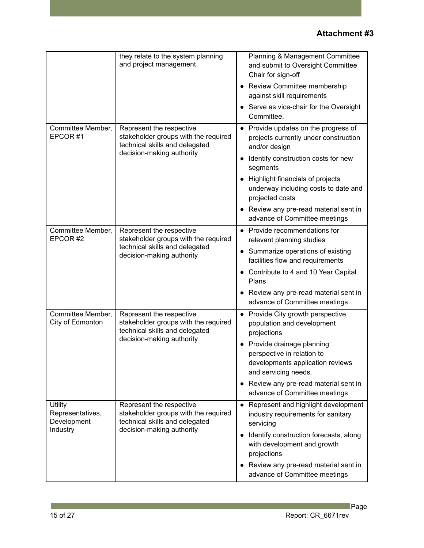|                                                               | they relate to the system planning<br>and project management                                                                    | Planning & Management Committee<br>and submit to Oversight Committee<br>Chair for sign-off<br>• Review Committee membership<br>against skill requirements<br>Serve as vice-chair for the Oversight<br>Committee.                                                                                                               |
|---------------------------------------------------------------|---------------------------------------------------------------------------------------------------------------------------------|--------------------------------------------------------------------------------------------------------------------------------------------------------------------------------------------------------------------------------------------------------------------------------------------------------------------------------|
| Committee Member,<br>EPCOR#1                                  | Represent the respective<br>stakeholder groups with the required<br>technical skills and delegated<br>decision-making authority | • Provide updates on the progress of<br>projects currently under construction<br>and/or design<br>Identify construction costs for new<br>٠<br>segments<br>Highlight financials of projects<br>underway including costs to date and<br>projected costs<br>Review any pre-read material sent in<br>advance of Committee meetings |
| Committee Member,<br>EPCOR#2                                  | Represent the respective<br>stakeholder groups with the required<br>technical skills and delegated<br>decision-making authority | Provide recommendations for<br>$\bullet$<br>relevant planning studies<br>Summarize operations of existing<br>$\bullet$<br>facilities flow and requirements<br>Contribute to 4 and 10 Year Capital<br>Plans<br>Review any pre-read material sent in<br>$\bullet$<br>advance of Committee meetings                               |
| Committee Member,<br>City of Edmonton                         | Represent the respective<br>stakeholder groups with the required<br>technical skills and delegated<br>decision-making authority | Provide City growth perspective,<br>population and development<br>projections<br>Provide drainage planning<br>perspective in relation to<br>developments application reviews<br>and servicing needs.<br>Review any pre-read material sent in<br>advance of Committee meetings                                                  |
| <b>Utility</b><br>Representatives,<br>Development<br>Industry | Represent the respective<br>stakeholder groups with the required<br>technical skills and delegated<br>decision-making authority | Represent and highlight development<br>$\bullet$<br>industry requirements for sanitary<br>servicing<br>Identify construction forecasts, along<br>with development and growth<br>projections<br>Review any pre-read material sent in<br>advance of Committee meetings                                                           |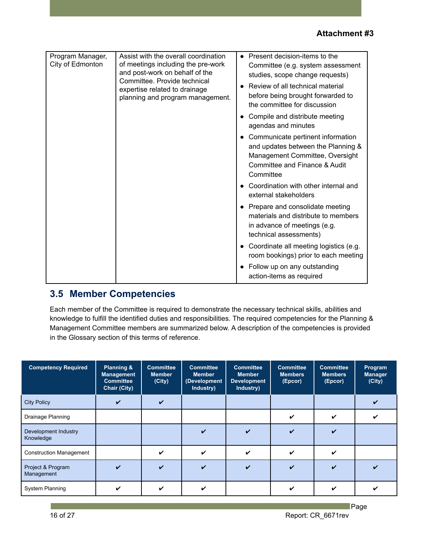| Program Manager,<br>City of Edmonton | Assist with the overall coordination<br>of meetings including the pre-work<br>and post-work on behalf of the<br>Committee. Provide technical<br>expertise related to drainage<br>planning and program management. | Present decision-items to the<br>$\bullet$<br>Committee (e.g. system assessment<br>studies, scope change requests)                                                    |
|--------------------------------------|-------------------------------------------------------------------------------------------------------------------------------------------------------------------------------------------------------------------|-----------------------------------------------------------------------------------------------------------------------------------------------------------------------|
|                                      |                                                                                                                                                                                                                   | Review of all technical material<br>before being brought forwarded to<br>the committee for discussion                                                                 |
|                                      |                                                                                                                                                                                                                   | Compile and distribute meeting<br>agendas and minutes                                                                                                                 |
|                                      |                                                                                                                                                                                                                   | Communicate pertinent information<br>$\bullet$<br>and updates between the Planning &<br>Management Committee, Oversight<br>Committee and Finance & Audit<br>Committee |
|                                      |                                                                                                                                                                                                                   | Coordination with other internal and<br>external stakeholders                                                                                                         |
|                                      |                                                                                                                                                                                                                   | • Prepare and consolidate meeting<br>materials and distribute to members<br>in advance of meetings (e.g.<br>technical assessments)                                    |
|                                      |                                                                                                                                                                                                                   | Coordinate all meeting logistics (e.g.<br>room bookings) prior to each meeting                                                                                        |
|                                      |                                                                                                                                                                                                                   | Follow up on any outstanding<br>$\bullet$<br>action-items as required                                                                                                 |

# <span id="page-16-0"></span>**3.5 Member Competencies**

Each member of the Committee is required to demonstrate the necessary technical skills, abilities and knowledge to fulfill the identified duties and responsibilities. The required competencies for the Planning & Management Committee members are summarized below. A description of the competencies is provided in the Glossary section of this terms of reference.

| <b>Competency Required</b>        | Planning &<br><b>Management</b><br><b>Committee</b><br><b>Chair (City)</b> | <b>Committee</b><br><b>Member</b><br>(City) | <b>Committee</b><br><b>Member</b><br>(Development<br>Industry) | <b>Committee</b><br><b>Member</b><br><b>Development</b><br>Industry) | <b>Committee</b><br><b>Members</b><br>(Epcor) | <b>Committee</b><br><b>Members</b><br>(Epcor) | Program<br><b>Manager</b><br>(City) |
|-----------------------------------|----------------------------------------------------------------------------|---------------------------------------------|----------------------------------------------------------------|----------------------------------------------------------------------|-----------------------------------------------|-----------------------------------------------|-------------------------------------|
| <b>City Policy</b>                | ✓                                                                          | $\checkmark$                                |                                                                |                                                                      |                                               |                                               | ✓                                   |
| Drainage Planning                 |                                                                            |                                             |                                                                |                                                                      | ✓                                             | V                                             | ✔                                   |
| Development Industry<br>Knowledge |                                                                            |                                             | V                                                              | ✓                                                                    | ✓                                             | ✓                                             |                                     |
| <b>Construction Management</b>    |                                                                            | ✓                                           | V                                                              | $\boldsymbol{\mathcal{U}}$                                           | ✓                                             | V                                             |                                     |
| Project & Program<br>Management   |                                                                            |                                             | V                                                              | ✓                                                                    |                                               |                                               |                                     |
| <b>System Planning</b>            |                                                                            |                                             | V                                                              |                                                                      |                                               |                                               |                                     |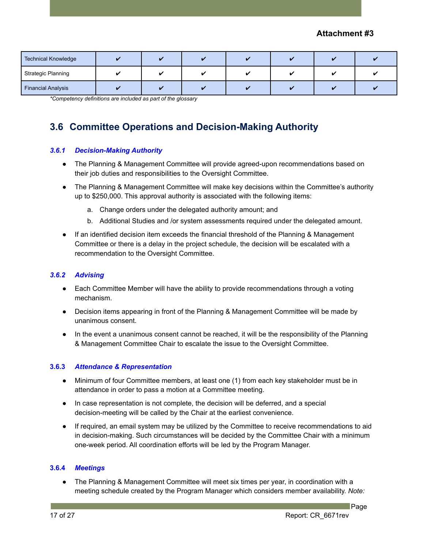| <b>Technical Knowledge</b> |  |  |  |  |
|----------------------------|--|--|--|--|
| <b>Strategic Planning</b>  |  |  |  |  |
| <b>Financial Analysis</b>  |  |  |  |  |

*\*Competency definitions are included as part of the glossary*

# <span id="page-17-0"></span>**3.6 Committee Operations and Decision-Making Authority**

#### <span id="page-17-1"></span>*3.6.1 Decision-Making Authority*

- The Planning & Management Committee will provide agreed-upon recommendations based on their job duties and responsibilities to the Oversight Committee.
- The Planning & Management Committee will make key decisions within the Committee's authority up to \$250,000. This approval authority is associated with the following items:
	- a. Change orders under the delegated authority amount; and
	- b. Additional Studies and /or system assessments required under the delegated amount.
- If an identified decision item exceeds the financial threshold of the Planning & Management Committee or there is a delay in the project schedule, the decision will be escalated with a recommendation to the Oversight Committee.

#### <span id="page-17-2"></span>*3.6.2 Advising*

- Each Committee Member will have the ability to provide recommendations through a voting mechanism.
- Decision items appearing in front of the Planning & Management Committee will be made by unanimous consent.
- In the event a unanimous consent cannot be reached, it will be the responsibility of the Planning & Management Committee Chair to escalate the issue to the Oversight Committee.

#### <span id="page-17-3"></span>**3.6.3** *Attendance & Representation*

- Minimum of four Committee members, at least one (1) from each key stakeholder must be in attendance in order to pass a motion at a Committee meeting.
- In case representation is not complete, the decision will be deferred, and a special decision-meeting will be called by the Chair at the earliest convenience.
- If required, an email system may be utilized by the Committee to receive recommendations to aid in decision-making. Such circumstances will be decided by the Committee Chair with a minimum one-week period. All coordination efforts will be led by the Program Manager.

#### <span id="page-17-4"></span>**3.6.4** *Meetings*

• The Planning & Management Committee will meet six times per year, in coordination with a meeting schedule created by the Program Manager which considers member availability. *Note:*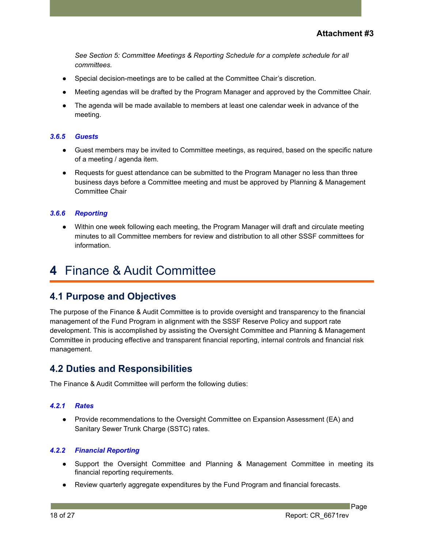*See Section 5: Committee Meetings & Reporting Schedule for a complete schedule for all committees.*

- Special decision-meetings are to be called at the Committee Chair's discretion.
- Meeting agendas will be drafted by the Program Manager and approved by the Committee Chair.
- The agenda will be made available to members at least one calendar week in advance of the meeting.

#### <span id="page-18-0"></span>*3.6.5 Guests*

- Guest members may be invited to Committee meetings, as required, based on the specific nature of a meeting / agenda item.
- Requests for guest attendance can be submitted to the Program Manager no less than three business days before a Committee meeting and must be approved by Planning & Management Committee Chair

#### *3.6.6 Reporting*

*●* Within one week following each meeting, the Program Manager will draft and circulate meeting minutes to all Committee members for review and distribution to all other SSSF committees for information.

# <span id="page-18-1"></span>**4** Finance & Audit Committee

### <span id="page-18-2"></span>**4.1 Purpose and Objectives**

The purpose of the Finance & Audit Committee is to provide oversight and transparency to the financial management of the Fund Program in alignment with the SSSF Reserve Policy and support rate development. This is accomplished by assisting the Oversight Committee and Planning & Management Committee in producing effective and transparent financial reporting, internal controls and financial risk management.

### <span id="page-18-3"></span>**4.2 Duties and Responsibilities**

The Finance & Audit Committee will perform the following duties:

#### <span id="page-18-4"></span>*4.2.1 Rates*

● Provide recommendations to the Oversight Committee on Expansion Assessment (EA) and Sanitary Sewer Trunk Charge (SSTC) rates.

#### <span id="page-18-5"></span>*4.2.2 Financial Reporting*

- Support the Oversight Committee and Planning & Management Committee in meeting its financial reporting requirements.
- Review quarterly aggregate expenditures by the Fund Program and financial forecasts.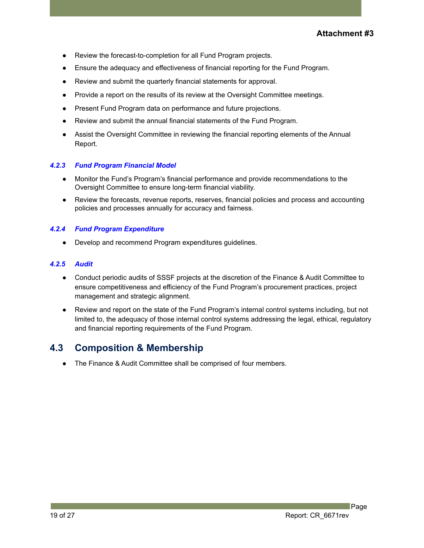- Review the forecast-to-completion for all Fund Program projects.
- Ensure the adequacy and effectiveness of financial reporting for the Fund Program.
- Review and submit the quarterly financial statements for approval.
- Provide a report on the results of its review at the Oversight Committee meetings.
- Present Fund Program data on performance and future projections.
- Review and submit the annual financial statements of the Fund Program.
- Assist the Oversight Committee in reviewing the financial reporting elements of the Annual Report.

#### <span id="page-19-0"></span>*4.2.3 Fund Program Financial Model*

- Monitor the Fund's Program's financial performance and provide recommendations to the Oversight Committee to ensure long-term financial viability.
- Review the forecasts, revenue reports, reserves, financial policies and process and accounting policies and processes annually for accuracy and fairness.

#### <span id="page-19-1"></span>*4.2.4 Fund Program Expenditure*

● Develop and recommend Program expenditures guidelines.

#### <span id="page-19-2"></span>*4.2.5 Audit*

- Conduct periodic audits of SSSF projects at the discretion of the Finance & Audit Committee to ensure competitiveness and efficiency of the Fund Program's procurement practices, project management and strategic alignment.
- Review and report on the state of the Fund Program's internal control systems including, but not limited to, the adequacy of those internal control systems addressing the legal, ethical, regulatory and financial reporting requirements of the Fund Program.

## <span id="page-19-3"></span>**4.3 Composition & Membership**

The Finance & Audit Committee shall be comprised of four members.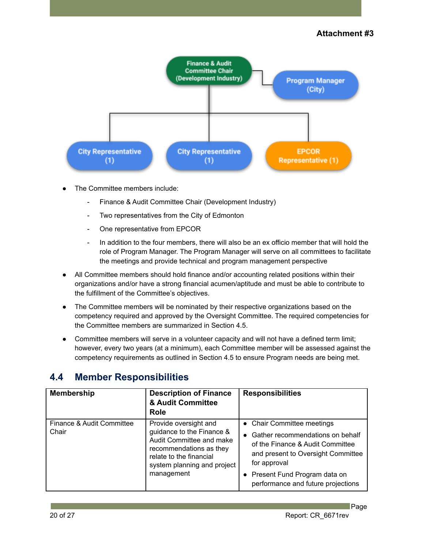

- The Committee members include:
	- Finance & Audit Committee Chair (Development Industry)
	- Two representatives from the City of Edmonton
	- One representative from EPCOR
	- In addition to the four members, there will also be an ex officio member that will hold the role of Program Manager. The Program Manager will serve on all committees to facilitate the meetings and provide technical and program management perspective
- All Committee members should hold finance and/or accounting related positions within their organizations and/or have a strong financial acumen/aptitude and must be able to contribute to the fulfillment of the Committee's objectives.
- The Committee members will be nominated by their respective organizations based on the competency required and approved by the Oversight Committee. The required competencies for the Committee members are summarized in Section 4.5.
- Committee members will serve in a volunteer capacity and will not have a defined term limit; however, every two years (at a minimum), each Committee member will be assessed against the competency requirements as outlined in Section 4.5 to ensure Program needs are being met.

# <span id="page-20-0"></span>**4.4 Member Responsibilities**

| <b>Membership</b>                  | <b>Description of Finance</b><br>& Audit Committee<br>Role                                                                                                                        | <b>Responsibilities</b>                                                                                                                                                                                                                       |
|------------------------------------|-----------------------------------------------------------------------------------------------------------------------------------------------------------------------------------|-----------------------------------------------------------------------------------------------------------------------------------------------------------------------------------------------------------------------------------------------|
| Finance & Audit Committee<br>Chair | Provide oversight and<br>guidance to the Finance &<br>Audit Committee and make<br>recommendations as they<br>relate to the financial<br>system planning and project<br>management | • Chair Committee meetings<br>Gather recommendations on behalf<br>$\bullet$<br>of the Finance & Audit Committee<br>and present to Oversight Committee<br>for approval<br>• Present Fund Program data on<br>performance and future projections |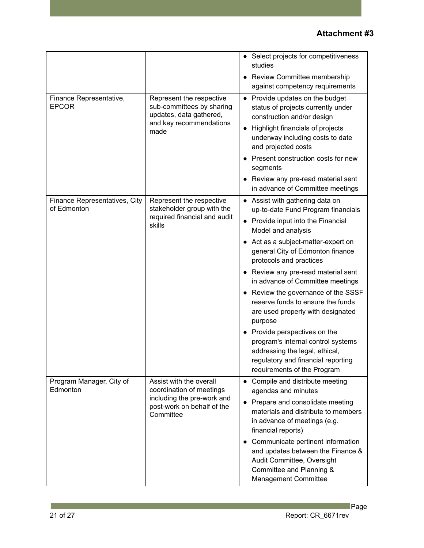|                                              |                                                                                                                              | • Select projects for competitiveness<br>studies<br>• Review Committee membership<br>against competency requirements                                                                                                                                                                                                                                                                                                                                                                                                                                                                                                                               |
|----------------------------------------------|------------------------------------------------------------------------------------------------------------------------------|----------------------------------------------------------------------------------------------------------------------------------------------------------------------------------------------------------------------------------------------------------------------------------------------------------------------------------------------------------------------------------------------------------------------------------------------------------------------------------------------------------------------------------------------------------------------------------------------------------------------------------------------------|
| Finance Representative,<br><b>EPCOR</b>      | Represent the respective<br>sub-committees by sharing<br>updates, data gathered,<br>and key recommendations<br>made          | Provide updates on the budget<br>$\bullet$<br>status of projects currently under<br>construction and/or design<br>Highlight financials of projects<br>$\bullet$<br>underway including costs to date<br>and projected costs<br>Present construction costs for new<br>segments<br>Review any pre-read material sent<br>in advance of Committee meetings                                                                                                                                                                                                                                                                                              |
| Finance Representatives, City<br>of Edmonton | Represent the respective<br>stakeholder group with the<br>required financial and audit<br>skills                             | • Assist with gathering data on<br>up-to-date Fund Program financials<br>Provide input into the Financial<br>$\bullet$<br>Model and analysis<br>• Act as a subject-matter-expert on<br>general City of Edmonton finance<br>protocols and practices<br>Review any pre-read material sent<br>$\bullet$<br>in advance of Committee meetings<br>• Review the governance of the SSSF<br>reserve funds to ensure the funds<br>are used properly with designated<br>purpose<br>• Provide perspectives on the<br>program's internal control systems<br>addressing the legal, ethical,<br>regulatory and financial reporting<br>requirements of the Program |
| Program Manager, City of<br>Edmonton         | Assist with the overall<br>coordination of meetings<br>including the pre-work and<br>post-work on behalf of the<br>Committee | Compile and distribute meeting<br>$\bullet$<br>agendas and minutes<br>Prepare and consolidate meeting<br>$\bullet$<br>materials and distribute to members<br>in advance of meetings (e.g.<br>financial reports)<br>Communicate pertinent information<br>$\bullet$<br>and updates between the Finance &<br>Audit Committee, Oversight<br>Committee and Planning &<br>Management Committee                                                                                                                                                                                                                                                           |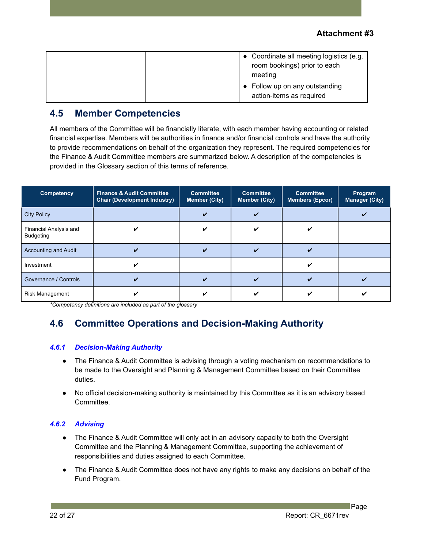|  | • Coordinate all meeting logistics (e.g.<br>room bookings) prior to each<br>meeting<br>• Follow up on any outstanding<br>action-items as required |
|--|---------------------------------------------------------------------------------------------------------------------------------------------------|
|--|---------------------------------------------------------------------------------------------------------------------------------------------------|

# <span id="page-22-0"></span>**4.5 Member Competencies**

All members of the Committee will be financially literate, with each member having accounting or related financial expertise. Members will be authorities in finance and/or financial controls and have the authority to provide recommendations on behalf of the organization they represent. The required competencies for the Finance & Audit Committee members are summarized below. A description of the competencies is provided in the Glossary section of this terms of reference.

| <b>Competency</b>                          | <b>Finance &amp; Audit Committee</b><br><b>Chair (Development Industry)</b> | <b>Committee</b><br>Committee<br><b>Member (City)</b><br><b>Member (City)</b> |  | <b>Committee</b><br><b>Members (Epcor)</b> | Program<br><b>Manager (City)</b> |
|--------------------------------------------|-----------------------------------------------------------------------------|-------------------------------------------------------------------------------|--|--------------------------------------------|----------------------------------|
| <b>City Policy</b>                         |                                                                             |                                                                               |  |                                            |                                  |
| Financial Analysis and<br><b>Budgeting</b> |                                                                             |                                                                               |  |                                            |                                  |
| <b>Accounting and Audit</b>                |                                                                             |                                                                               |  |                                            |                                  |
| Investment                                 |                                                                             |                                                                               |  |                                            |                                  |
| Governance / Controls                      |                                                                             | ✔                                                                             |  |                                            |                                  |
| <b>Risk Management</b>                     |                                                                             |                                                                               |  |                                            |                                  |

<span id="page-22-1"></span>*\*Competency definitions are included as part of the glossary*

# **4.6 Committee Operations and Decision-Making Authority**

#### <span id="page-22-2"></span>*4.6.1 Decision-Making Authority*

- The Finance & Audit Committee is advising through a voting mechanism on recommendations to be made to the Oversight and Planning & Management Committee based on their Committee duties.
- No official decision-making authority is maintained by this Committee as it is an advisory based Committee.

#### *4.6.2 Advising*

- The Finance & Audit Committee will only act in an advisory capacity to both the Oversight Committee and the Planning & Management Committee, supporting the achievement of responsibilities and duties assigned to each Committee.
- The Finance & Audit Committee does not have any rights to make any decisions on behalf of the Fund Program.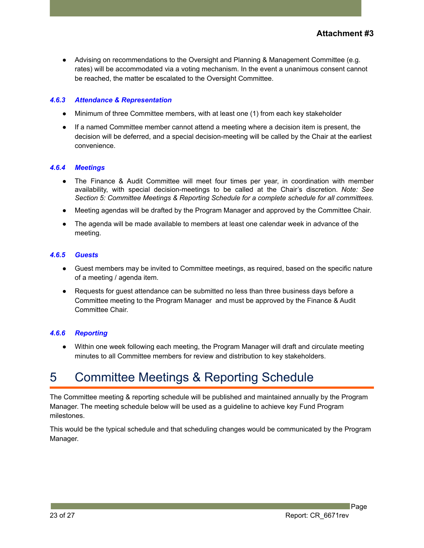● Advising on recommendations to the Oversight and Planning & Management Committee (e.g. rates) will be accommodated via a voting mechanism. In the event a unanimous consent cannot be reached, the matter be escalated to the Oversight Committee.

#### *4.6.3 Attendance & Representation*

- Minimum of three Committee members, with at least one (1) from each key stakeholder
- If a named Committee member cannot attend a meeting where a decision item is present, the decision will be deferred, and a special decision-meeting will be called by the Chair at the earliest convenience.

#### <span id="page-23-0"></span>*4.6.4 Meetings*

- The Finance & Audit Committee will meet four times per year, in coordination with member availability, with special decision-meetings to be called at the Chair's discretion. *Note: See Section 5: Committee Meetings & Reporting Schedule for a complete schedule for all committees.*
- Meeting agendas will be drafted by the Program Manager and approved by the Committee Chair.
- The agenda will be made available to members at least one calendar week in advance of the meeting.

#### <span id="page-23-1"></span>*4.6.5 Guests*

- Guest members may be invited to Committee meetings, as required, based on the specific nature of a meeting / agenda item.
- Requests for quest attendance can be submitted no less than three business days before a Committee meeting to the Program Manager and must be approved by the Finance & Audit Committee Chair.

#### <span id="page-23-2"></span>*4.6.6 Reporting*

Within one week following each meeting, the Program Manager will draft and circulate meeting minutes to all Committee members for review and distribution to key stakeholders.

# <span id="page-23-3"></span>5 Committee Meetings & Reporting Schedule

The Committee meeting & reporting schedule will be published and maintained annually by the Program Manager. The meeting schedule below will be used as a guideline to achieve key Fund Program milestones.

This would be the typical schedule and that scheduling changes would be communicated by the Program Manager.

23 of 27 Report: CR\_6671rev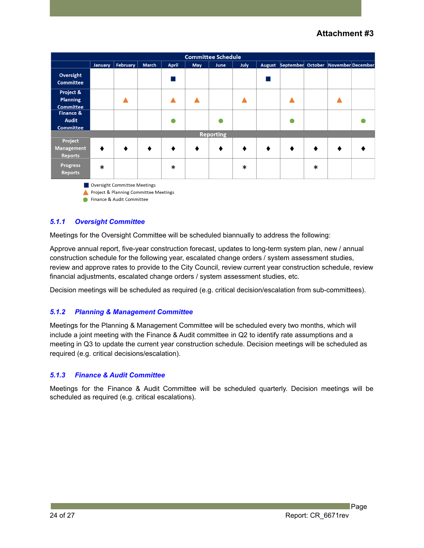| <b>Committee Schedule</b>         |         |          |              |              |     |                  |      |                                            |        |  |
|-----------------------------------|---------|----------|--------------|--------------|-----|------------------|------|--------------------------------------------|--------|--|
|                                   | January | February | <b>March</b> | <b>April</b> | May | <b>June</b>      | July | August September October November December |        |  |
| Oversight                         |         |          |              |              |     |                  |      |                                            |        |  |
| <b>Committee</b>                  |         |          |              |              |     |                  |      |                                            |        |  |
| Project &                         |         |          |              |              |     |                  |      |                                            |        |  |
| <b>Planning</b>                   |         |          |              |              |     |                  |      |                                            |        |  |
| <b>Committee</b>                  |         |          |              |              |     |                  |      |                                            |        |  |
| <b>Finance &amp;</b>              |         |          |              |              |     |                  |      |                                            |        |  |
| <b>Audit</b>                      |         |          |              |              |     |                  |      |                                            |        |  |
| <b>Committee</b>                  |         |          |              |              |     |                  |      |                                            |        |  |
|                                   |         |          |              |              |     | <b>Reporting</b> |      |                                            |        |  |
| Project                           |         |          |              |              |     |                  |      |                                            |        |  |
| <b>Management</b>                 |         |          | €            |              |     |                  |      | ٠                                          |        |  |
| <b>Reports</b>                    |         |          |              |              |     |                  |      |                                            |        |  |
| <b>Progress</b><br><b>Reports</b> | $\ast$  |          |              | ∗            |     |                  | ∗    |                                            | $\ast$ |  |

Oversight Committee Meetings

Project & Planning Committee Meetings

Finance & Audit Committee

#### *5.1.1 Oversight Committee*

Meetings for the Oversight Committee will be scheduled biannually to address the following:

Approve annual report, five-year construction forecast, updates to long-term system plan, new / annual construction schedule for the following year, escalated change orders / system assessment studies, review and approve rates to provide to the City Council, review current year construction schedule, review financial adjustments, escalated change orders / system assessment studies, etc.

<span id="page-24-0"></span>Decision meetings will be scheduled as required (e.g. critical decision/escalation from sub-committees).

#### *5.1.2 Planning & Management Committee*

Meetings for the Planning & Management Committee will be scheduled every two months, which will include a joint meeting with the Finance & Audit committee in Q2 to identify rate assumptions and a meeting in Q3 to update the current year construction schedule. Decision meetings will be scheduled as required (e.g. critical decisions/escalation).

#### <span id="page-24-1"></span>*5.1.3 Finance & Audit Committee*

Meetings for the Finance & Audit Committee will be scheduled quarterly. Decision meetings will be scheduled as required (e.g. critical escalations).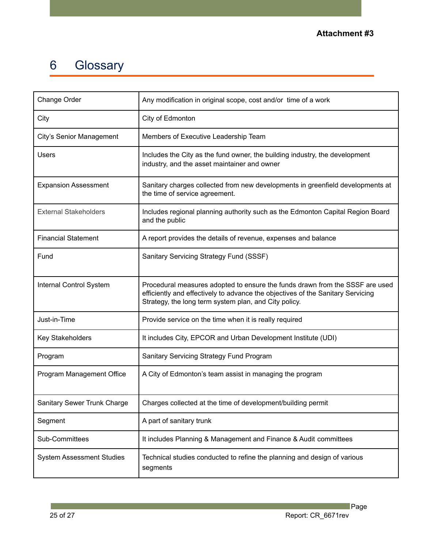# 6 Glossary

| Change Order                     | Any modification in original scope, cost and/or time of a work                                                                                                                                                           |
|----------------------------------|--------------------------------------------------------------------------------------------------------------------------------------------------------------------------------------------------------------------------|
| City                             | City of Edmonton                                                                                                                                                                                                         |
| City's Senior Management         | Members of Executive Leadership Team                                                                                                                                                                                     |
| <b>Users</b>                     | Includes the City as the fund owner, the building industry, the development<br>industry, and the asset maintainer and owner                                                                                              |
| <b>Expansion Assessment</b>      | Sanitary charges collected from new developments in greenfield developments at<br>the time of service agreement.                                                                                                         |
| <b>External Stakeholders</b>     | Includes regional planning authority such as the Edmonton Capital Region Board<br>and the public                                                                                                                         |
| <b>Financial Statement</b>       | A report provides the details of revenue, expenses and balance                                                                                                                                                           |
| Fund                             | Sanitary Servicing Strategy Fund (SSSF)                                                                                                                                                                                  |
| Internal Control System          | Procedural measures adopted to ensure the funds drawn from the SSSF are used<br>efficiently and effectively to advance the objectives of the Sanitary Servicing<br>Strategy, the long term system plan, and City policy. |
| Just-in-Time                     | Provide service on the time when it is really required                                                                                                                                                                   |
| <b>Key Stakeholders</b>          | It includes City, EPCOR and Urban Development Institute (UDI)                                                                                                                                                            |
| Program                          | Sanitary Servicing Strategy Fund Program                                                                                                                                                                                 |
| Program Management Office        | A City of Edmonton's team assist in managing the program                                                                                                                                                                 |
| Sanitary Sewer Trunk Charge      | Charges collected at the time of development/building permit                                                                                                                                                             |
| Segment                          | A part of sanitary trunk                                                                                                                                                                                                 |
| Sub-Committees                   | It includes Planning & Management and Finance & Audit committees                                                                                                                                                         |
| <b>System Assessment Studies</b> | Technical studies conducted to refine the planning and design of various<br>segments                                                                                                                                     |

**Common**